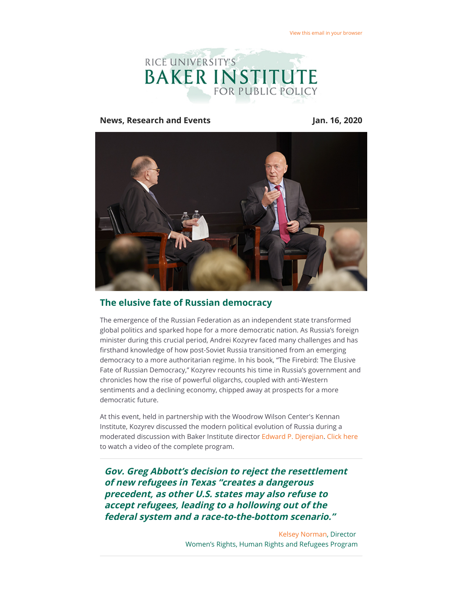

#### **News, Research and Events Jan. 16, 2020**



# **The elusive fate of Russian democracy**

The emergence of the Russian Federation as an independent state transformed global politics and sparked hope for a more democratic nation. As Russia's foreign minister during this crucial period, Andrei Kozyrev faced many challenges and has firsthand knowledge of how post-Soviet Russia transitioned from an emerging democracy to a more authoritarian regime. In his book, "The Firebird: The Elusive Fate of Russian Democracy," Kozyrev recounts his time in Russia's government and chronicles how the rise of powerful oligarchs, coupled with anti-Western sentiments and a declining economy, chipped away at prospects for a more democratic future.

At this event, held in partnership with the Woodrow Wilson Center's Kennan Institute, Kozyrev discussed the modern political evolution of Russia during a moderated discussion with Baker Institute director [Edward P. Djerejian.](https://riceconnect.rice.edu/page.redir?target=http%3a%2f%2fwww.bakerinstitute.org%2fexperts%2fedward-p-djerejian%2f&srcid=121205&srctid=1&erid=ca42c2d5-7bb7-45dc-8578-c6d005f21eae&trid=ca42c2d5-7bb7-45dc-8578-c6d005f21eae) [Click here](https://riceconnect.rice.edu/page.redir?target=https%3a%2f%2fwww.bakerinstitute.org%2fevents%2f2044%2f&srcid=121205&srctid=1&erid=ca42c2d5-7bb7-45dc-8578-c6d005f21eae&trid=ca42c2d5-7bb7-45dc-8578-c6d005f21eae) to watch a video of the complete program.

**Gov. Greg Abbott's decision to reject the resettlement of new refugees in Texas "creates a dangerous precedent, as other U.S. states may also refuse to accept refugees, leading to a hollowing out of the federal system and a race-to-the-bottom scenario."**

> [Kelsey Norman,](https://riceconnect.rice.edu/page.redir?target=https%3a%2f%2fwww.bakerinstitute.org%2fexperts%2fkelsey-norman%2f&srcid=121205&srctid=1&erid=ca42c2d5-7bb7-45dc-8578-c6d005f21eae&trid=ca42c2d5-7bb7-45dc-8578-c6d005f21eae) Director Women's Rights, Human Rights and Refugees Program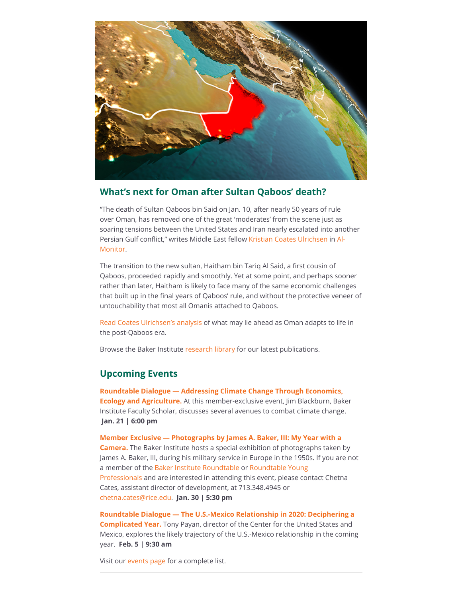

#### **What's next for Oman after Sultan Qaboos' death?**

"The death of Sultan Qaboos bin Said on Jan. 10, after nearly 50 years of rule over Oman, has removed one of the great 'moderates' from the scene just as soaring tensions between the United States and Iran nearly escalated into another Persian Gulf conflict," writes Middle East fellow K[ristian Coates Ulrichse](https://riceconnect.rice.edu/page.redir?target=https%3a%2f%2fwww.bakerinstitute.org%2fexperts%2fkristian-coates-ulrichsen%2f&srcid=121205&srctid=1&erid=ca42c2d5-7bb7-45dc-8578-c6d005f21eae&trid=ca42c2d5-7bb7-45dc-8578-c6d005f21eae)[n in Al-](https://riceconnect.rice.edu/page.redir?target=https%3a%2f%2fwww.al-monitor.com%2fpulse%2foriginals%2f2020%2f01%2foman-death-sultan-qaboos-economy-haitham-tariq.html&srcid=121205&srctid=1&erid=ca42c2d5-7bb7-45dc-8578-c6d005f21eae&trid=ca42c2d5-7bb7-45dc-8578-c6d005f21eae)Monitor.

The transition to the new sultan, Haitham bin Tariq Al Said, a first cousin of Qaboos, proceeded rapidly and smoothly. Yet at some point, and perhaps sooner rather than later, Haitham is likely to face many of the same economic challenges that built up in the final years of Qaboos' rule, and without the protective veneer of untouchability that most all Omanis attached to Qaboos.

[Read Coates Ulrichsen's analysis](https://riceconnect.rice.edu/page.redir?target=https%3a%2f%2fwww.al-monitor.com%2fpulse%2foriginals%2f2020%2f01%2foman-death-sultan-qaboos-economy-haitham-tariq.html&srcid=121205&srctid=1&erid=ca42c2d5-7bb7-45dc-8578-c6d005f21eae&trid=ca42c2d5-7bb7-45dc-8578-c6d005f21eae) of what may lie ahead as Oman adapts to life in the post-Qaboos era.

Browse the Baker Institute [research library](https://riceconnect.rice.edu/page.redir?target=https%3a%2f%2fwww.bakerinstitute.org%2fresearch%2f&srcid=121205&srctid=1&erid=ca42c2d5-7bb7-45dc-8578-c6d005f21eae&trid=ca42c2d5-7bb7-45dc-8578-c6d005f21eae) for our latest publications.

# **Upcoming Events**

**[Roundtable Dialogue — Addressing Climate Change Through Economics,](https://riceconnect.rice.edu/page.redir?target=https%3a%2f%2fwww.bakerinstitute.org%2fevents%2f2046%2f&srcid=121205&srctid=1&erid=ca42c2d5-7bb7-45dc-8578-c6d005f21eae&trid=ca42c2d5-7bb7-45dc-8578-c6d005f21eae) Ecology and Agriculture.** At this member-exclusive event, Jim Blackburn, Baker Institute Faculty Scholar, discusses several avenues to combat climate change. **Jan. 21 | 6:00 pm**

**[Member Exclusive — Photographs by James A. Baker, III: My Year with a](https://riceconnect.rice.edu/page.redir?target=http%3a%2f%2fwww.bakerinstitute.org%2fevents%2f2045%2f&srcid=121205&srctid=1&erid=ca42c2d5-7bb7-45dc-8578-c6d005f21eae&trid=ca42c2d5-7bb7-45dc-8578-c6d005f21eae) Camera.** The Baker Institute hosts a special exhibition of photographs taken by James A. Baker, III, during his military service in Europe in the 1950s. If you are not [a member of the](https://riceconnect.rice.edu/page.redir?target=https%3a%2f%2fwww.bakerinstitute.org%2froundtable-young-professionals%2f&srcid=121205&srctid=1&erid=ca42c2d5-7bb7-45dc-8578-c6d005f21eae&trid=ca42c2d5-7bb7-45dc-8578-c6d005f21eae) [Baker Institute Roundtabl](https://riceconnect.rice.edu/page.redir?target=https%3a%2f%2fwww.bakerinstitute.org%2fjoin-the-baker-roundtable%2f&srcid=121205&srctid=1&erid=ca42c2d5-7bb7-45dc-8578-c6d005f21eae&trid=ca42c2d5-7bb7-45dc-8578-c6d005f21eae)[e or Roundtable Young](https://riceconnect.rice.edu/page.redir?target=https%3a%2f%2fwww.bakerinstitute.org%2froundtable-young-professionals%2f&srcid=121205&srctid=1&erid=ca42c2d5-7bb7-45dc-8578-c6d005f21eae&trid=ca42c2d5-7bb7-45dc-8578-c6d005f21eae) Professionals and are interested in attending this event, please contact Chetna Cates, assistant director of development, at 713.348.4945 or [chetna.cates@rice.edu](mailto:chetna.cates@rice.edu). **Jan. 30 | 5:30 pm**

**[Roundtable Dialogue — The U.S.-Mexico Relationship in 2020: Deciphering a](https://riceconnect.rice.edu/page.redir?target=http%3a%2f%2fwww.bakerinstitute.org%2fevents%2f2047%2f&srcid=121205&srctid=1&erid=ca42c2d5-7bb7-45dc-8578-c6d005f21eae&trid=ca42c2d5-7bb7-45dc-8578-c6d005f21eae) Complicated Year[.](https://riceconnect.rice.edu/page.redir?target=http%3a%2f%2fwww.bakerinstitute.org%2fevents%2f2047%2f&srcid=121205&srctid=1&erid=ca42c2d5-7bb7-45dc-8578-c6d005f21eae&trid=ca42c2d5-7bb7-45dc-8578-c6d005f21eae)** Tony Payan, director of the Center for the United States and Mexico, explores the likely trajectory of the U.S.-Mexico relationship in the coming year. **Feb. 5 | 9:30 am**

Visit our [events page](https://riceconnect.rice.edu/page.redir?target=http%3a%2f%2fwww.bakerinstitute.org%2fevents%2fsearch%2f&srcid=121205&srctid=1&erid=ca42c2d5-7bb7-45dc-8578-c6d005f21eae&trid=ca42c2d5-7bb7-45dc-8578-c6d005f21eae) for a complete list.